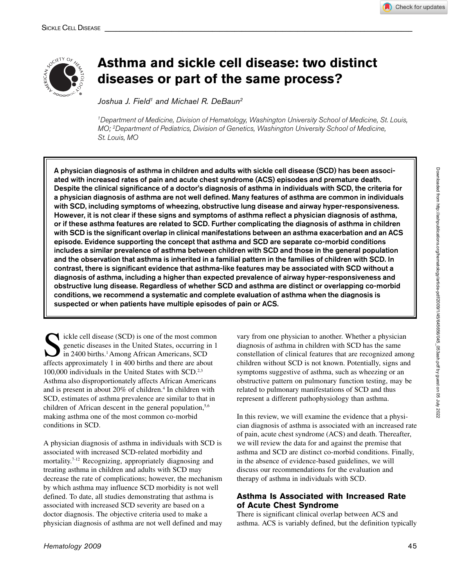



# **Asthma and sickle cell disease: two distinct diseases or part of the same process?**

Joshua J. Field<sup>1</sup> and Michael R. DeBaun<sup>2</sup>

*1 Department of Medicine, Division of Hematology, Washington University School of Medicine, St. Louis, MO; 2 Department of Pediatrics, Division of Genetics, Washington University School of Medicine, St. Louis, MO*

A physician diagnosis of asthma in children and adults with sickle cell disease (SCD) has been associated with increased rates of pain and acute chest syndrome (ACS) episodes and premature death. Despite the clinical significance of a doctor's diagnosis of asthma in individuals with SCD, the criteria for a physician diagnosis of asthma are not well defined. Many features of asthma are common in individuals with SCD, including symptoms of wheezing, obstructive lung disease and airway hyper-responsiveness. However, it is not clear if these signs and symptoms of asthma reflect a physician diagnosis of asthma, or if these asthma features are related to SCD. Further complicating the diagnosis of asthma in children with SCD is the significant overlap in clinical manifestations between an asthma exacerbation and an ACS episode. Evidence supporting the concept that asthma and SCD are separate co-morbid conditions includes a similar prevalence of asthma between children with SCD and those in the general population and the observation that asthma is inherited in a familial pattern in the families of children with SCD. In contrast, there is significant evidence that asthma-like features may be associated with SCD without a diagnosis of asthma, including a higher than expected prevalence of airway hyper-responsiveness and obstructive lung disease. Regardless of whether SCD and asthma are distinct or overlapping co-morbid conditions, we recommend a systematic and complete evaluation of asthma when the diagnosis is suspected or when patients have multiple episodes of pain or ACS.

Sickle cell disease (SCD) is one of the most common<br>genetic diseases in the United States, occurring in 1<br>in 2400 births.<sup>1</sup> Among African Americans, SCD<br>affects approximately 1 in 400 births and there are about genetic diseases in the United States, occurring in 1 in 2400 births.<sup>1</sup> Among African Americans, SCD affects approximately 1 in 400 births and there are about 100,000 individuals in the United States with SCD.<sup>2,3</sup> Asthma also disproportionately affects African Americans and is present in about 20% of children.<sup>4</sup> In children with SCD, estimates of asthma prevalence are similar to that in children of African descent in the general population,<sup>5,6</sup> making asthma one of the most common co-morbid conditions in SCD.

A physician diagnosis of asthma in individuals with SCD is associated with increased SCD-related morbidity and mortality.7-12 Recognizing, appropriately diagnosing and treating asthma in children and adults with SCD may decrease the rate of complications; however, the mechanism by which asthma may influence SCD morbidity is not well defined. To date, all studies demonstrating that asthma is associated with increased SCD severity are based on a doctor diagnosis. The objective criteria used to make a physician diagnosis of asthma are not well defined and may

vary from one physician to another. Whether a physician diagnosis of asthma in children with SCD has the same constellation of clinical features that are recognized among children without SCD is not known. Potentially, signs and symptoms suggestive of asthma, such as wheezing or an obstructive pattern on pulmonary function testing, may be related to pulmonary manifestations of SCD and thus represent a different pathophysiology than asthma.

In this review, we will examine the evidence that a physician diagnosis of asthma is associated with an increased rate of pain, acute chest syndrome (ACS) and death. Thereafter, we will review the data for and against the premise that asthma and SCD are distinct co-morbid conditions. Finally, in the absence of evidence-based guidelines, we will discuss our recommendations for the evaluation and therapy of asthma in individuals with SCD.

# **Asthma Is Associated with Increased Rate of Acute Chest Syndrome**

There is significant clinical overlap between ACS and asthma. ACS is variably defined, but the definition typically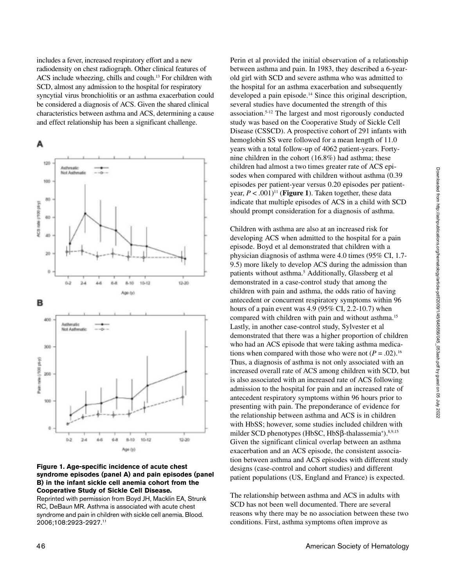includes a fever, increased respiratory effort and a new radiodensity on chest radiograph. Other clinical features of ACS include wheezing, chills and cough.13 For children with SCD, almost any admission to the hospital for respiratory syncytial virus bronchiolitis or an asthma exacerbation could be considered a diagnosis of ACS. Given the shared clinical characteristics between asthma and ACS, determining a cause and effect relationship has been a significant challenge.



#### **Figure 1. Age-specific incidence of acute chest syndrome episodes (panel A) and pain episodes (panel B) in the infant sickle cell anemia cohort from the Cooperative Study of Sickle Cell Disease.**

Reprinted with permission from Boyd JH, Macklin EA, Strunk RC, DeBaun MR. Asthma is associated with acute chest syndrome and pain in children with sickle cell anemia. Blood. 2006;108:2923-2927.11

Perin et al provided the initial observation of a relationship between asthma and pain. In 1983, they described a 6-yearold girl with SCD and severe asthma who was admitted to the hospital for an asthma exacerbation and subsequently developed a pain episode.<sup>14</sup> Since this original description, several studies have documented the strength of this association.5-12 The largest and most rigorously conducted study was based on the Cooperative Study of Sickle Cell Disease (CSSCD). A prospective cohort of 291 infants with hemoglobin SS were followed for a mean length of 11.0 years with a total follow-up of 4062 patient-years. Fortynine children in the cohort (16.8%) had asthma; these children had almost a two times greater rate of ACS episodes when compared with children without asthma (0.39 episodes per patient-year versus 0.20 episodes per patientyear,  $P < .001$ <sup>11</sup> (**Figure 1**). Taken together, these data indicate that multiple episodes of ACS in a child with SCD should prompt consideration for a diagnosis of asthma.

Children with asthma are also at an increased risk for developing ACS when admitted to the hospital for a pain episode. Boyd et al demonstrated that children with a physician diagnosis of asthma were 4.0 times (95% CI, 1.7- 9.5) more likely to develop ACS during the admission than patients without asthma.<sup>5</sup> Additionally, Glassberg et al demonstrated in a case-control study that among the children with pain and asthma, the odds ratio of having antecedent or concurrent respiratory symptoms within 96 hours of a pain event was 4.9 (95% CI, 2.2-10.7) when compared with children with pain and without asthma.15 Lastly, in another case-control study, Sylvester et al demonstrated that there was a higher proportion of children who had an ACS episode that were taking asthma medications when compared with those who were not  $(P = .02)$ .<sup>16</sup> Thus, a diagnosis of asthma is not only associated with an increased overall rate of ACS among children with SCD, but is also associated with an increased rate of ACS following admission to the hospital for pain and an increased rate of antecedent respiratory symptoms within 96 hours prior to presenting with pain. The preponderance of evidence for the relationship between asthma and ACS is in children with HbSS; however, some studies included children with milder SCD phenotypes (HbSC, HbSβ-thalassemia<sup>+</sup>).<sup>8,9,15</sup> Given the significant clinical overlap between an asthma exacerbation and an ACS episode, the consistent association between asthma and ACS episodes with different study designs (case-control and cohort studies) and different patient populations (US, England and France) is expected.

The relationship between asthma and ACS in adults with SCD has not been well documented. There are several reasons why there may be no association between these two conditions. First, asthma symptoms often improve as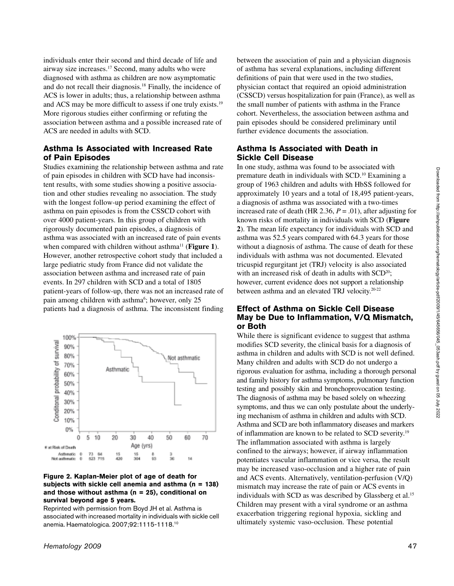individuals enter their second and third decade of life and airway size increases.17 Second, many adults who were diagnosed with asthma as children are now asymptomatic and do not recall their diagnosis.18 Finally, the incidence of ACS is lower in adults; thus, a relationship between asthma and ACS may be more difficult to assess if one truly exists.<sup>19</sup> More rigorous studies either confirming or refuting the association between asthma and a possible increased rate of ACS are needed in adults with SCD.

## **Asthma Is Associated with Increased Rate of Pain Episodes**

Studies examining the relationship between asthma and rate of pain episodes in children with SCD have had inconsistent results, with some studies showing a positive association and other studies revealing no association. The study with the longest follow-up period examining the effect of asthma on pain episodes is from the CSSCD cohort with over 4000 patient-years. In this group of children with rigorously documented pain episodes, a diagnosis of asthma was associated with an increased rate of pain events when compared with children without asthma<sup>11</sup> (**Figure 1**). However, another retrospective cohort study that included a large pediatric study from France did not validate the association between asthma and increased rate of pain events. In 297 children with SCD and a total of 1805 patient-years of follow-up, there was not an increased rate of pain among children with asthma<sup>6</sup>; however, only 25 patients had a diagnosis of asthma. The inconsistent finding



#### **Figure 2. Kaplan-Meier plot of age of death for subjects with sickle cell anemia and asthma (n = 138) and those without asthma (n = 25), conditional on survival beyond age 5 years.**

Reprinted with permission from Boyd JH et al. Asthma is associated with increased mortality in individuals with sickle cell anemia. Haematologica. 2007;92:1115-1118.10

between the association of pain and a physician diagnosis of asthma has several explanations, including different definitions of pain that were used in the two studies, physician contact that required an opioid administration (CSSCD) versus hospitalization for pain (France), as well as the small number of patients with asthma in the France cohort. Nevertheless, the association between asthma and pain episodes should be considered preliminary until further evidence documents the association.

# **Asthma Is Associated with Death in Sickle Cell Disease**

In one study, asthma was found to be associated with premature death in individuals with SCD.10 Examining a group of 1963 children and adults with HbSS followed for approximately 10 years and a total of 18,495 patient-years, a diagnosis of asthma was associated with a two-times increased rate of death (HR 2.36,  $P = .01$ ), after adjusting for known risks of mortality in individuals with SCD (**Figure 2**). The mean life expectancy for individuals with SCD and asthma was 52.5 years compared with 64.3 years for those without a diagnosis of asthma. The cause of death for these individuals with asthma was not documented. Elevated tricuspid regurgitant jet (TRJ) velocity is also associated with an increased risk of death in adults with  $SCD<sup>20</sup>$ ; however, current evidence does not support a relationship between asthma and an elevated TRJ velocity.20-22

## **Effect of Asthma on Sickle Cell Disease May be Due to Inflammation, V/Q Mismatch, or Both**

While there is significant evidence to suggest that asthma modifies SCD severity, the clinical basis for a diagnosis of asthma in children and adults with SCD is not well defined. Many children and adults with SCD do not undergo a rigorous evaluation for asthma, including a thorough personal and family history for asthma symptoms, pulmonary function testing and possibly skin and bronchoprovocation testing. The diagnosis of asthma may be based solely on wheezing symptoms, and thus we can only postulate about the underlying mechanism of asthma in children and adults with SCD. Asthma and SCD are both inflammatory diseases and markers of inflammation are known to be related to SCD severity.19 The inflammation associated with asthma is largely confined to the airways; however, if airway inflammation potentiates vascular inflammation or vice versa, the result may be increased vaso-occlusion and a higher rate of pain and ACS events. Alternatively, ventilation-perfusion (V/Q) mismatch may increase the rate of pain or ACS events in individuals with SCD as was described by Glassberg et al.<sup>15</sup> Children may present with a viral syndrome or an asthma exacerbation triggering regional hypoxia, sickling and ultimately systemic vaso-occlusion. These potential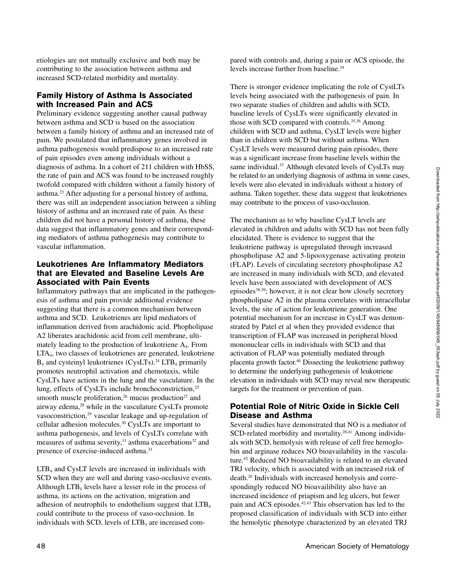etiologies are not mutually exclusive and both may be contributing to the association between asthma and increased SCD-related morbidity and mortality.

### **Family History of Asthma Is Associated with Increased Pain and ACS**

Preliminary evidence suggesting another causal pathway between asthma and SCD is based on the association between a family history of asthma and an increased rate of pain. We postulated that inflammatory genes involved in asthma pathogenesis would predispose to an increased rate of pain episodes even among individuals without a diagnosis of asthma. In a cohort of 211 children with HbSS, the rate of pain and ACS was found to be increased roughly twofold compared with children without a family history of asthma.23 After adjusting for a personal history of asthma, there was still an independent association between a sibling history of asthma and an increased rate of pain. As these children did not have a personal history of asthma, these data suggest that inflammatory genes and their corresponding mediators of asthma pathogenesis may contribute to vascular inflammation.

## **Leukotrienes Are Inflammatory Mediators that are Elevated and Baseline Levels Are Associated with Pain Events**

Inflammatory pathways that are implicated in the pathogenesis of asthma and pain provide additional evidence suggesting that there is a common mechanism between asthma and SCD. Leukotrienes are lipid mediators of inflammation derived from arachidonic acid. Phopholipase A2 liberates arachidonic acid from cell membrane, ultimately leading to the production of leukotriene A4. From LTA4, two classes of leukotrienes are generated, leukotriene  $B_4$  and cysteinyl leukotrienes (CysLTs).<sup>24</sup> LTB<sub>4</sub> primarily promotes neutrophil activation and chemotaxis, while CysLTs have actions in the lung and the vasculature. In the lung, effects of CysLTs include bronchoconstriction,<sup>25</sup> smooth muscle proliferation,<sup>26</sup> mucus production<sup>27</sup> and airway edema,<sup>28</sup> while in the vasculature CysLTs promote vasoconstriction,<sup>29</sup> vascular leakage and up-regulation of cellular adhesion molecules.30 CysLTs are important to asthma pathogenesis, and levels of CysLTs correlate with measures of asthma severity, $31$  asthma exacerbations $32$  and presence of exercise-induced asthma.<sup>33</sup>

 $LTB<sub>4</sub>$  and CysLT levels are increased in individuals with SCD when they are well and during vaso-occlusive events. Although  $LTB<sub>4</sub>$  levels have a lesser role in the process of asthma, its actions on the activation, migration and adhesion of neutrophils to endothelium suggest that LTB4 could contribute to the process of vaso-occlusion. In individuals with SCD, levels of  $LTB<sub>4</sub>$  are increased compared with controls and, during a pain or ACS episode, the levels increase further from baseline.<sup>34</sup>

There is stronger evidence implicating the role of CystLTs levels being associated with the pathogenesis of pain. In two separate studies of children and adults with SCD, baseline levels of CysLTs were significantly elevated in those with SCD compared with controls.<sup>35,36</sup> Among children with SCD and asthma, CysLT levels were higher than in children with SCD but without asthma. When CysLT levels were measured during pain episodes, there was a significant increase from baseline levels within the same individual.<sup>37</sup> Although elevated levels of CysLTs may be related to an underlying diagnosis of asthma in some cases, levels were also elevated in individuals without a history of asthma. Taken together, these data suggest that leukotrienes may contribute to the process of vaso-occlusion.

The mechanism as to why baseline CysLT levels are elevated in children and adults with SCD has not been fully elucidated. There is evidence to suggest that the leukotriene pathway is upregulated through increased phospholipase A2 and 5-lipooxygenase activating protein (FLAP). Levels of circulating secretory phospholipase A2 are increased in many individuals with SCD, and elevated levels have been associated with development of ACS episodes<sup>38,39</sup>; however, it is not clear how closely secretory phospholipase A2 in the plasma correlates with intracellular levels, the site of action for leukotriene generation. One potential mechanism for an increase in CysLT was demonstrated by Patel et al when they provided evidence that transcription of FLAP was increased in peripheral blood mononuclear cells in individuals with SCD and that activation of FLAP was potentially mediated through placenta growth factor.40 Dissecting the leukotriene pathway to determine the underlying pathogenesis of leukotriene elevation in individuals with SCD may reveal new therapeutic targets for the treatment or prevention of pain.

# **Potential Role of Nitric Oxide in Sickle Cell Disease and Asthma**

Several studies have demonstrated that NO is a mediator of SCD-related morbidity and mortality.<sup>20,41</sup> Among individuals with SCD, hemolysis with release of cell free hemoglobin and arginase reduces NO bioavailability in the vasculature.<sup>42</sup> Reduced NO bioavailability is related to an elevated TRJ velocity, which is associated with an increased risk of death.20 Individuals with increased hemolysis and correspondingly reduced NO bioavailibility also have an increased incidence of priapism and leg ulcers, but fewer pain and ACS episodes.<sup>42,43</sup> This observation has led to the proposed classification of individuals with SCD into either the hemolytic phenotype characterized by an elevated TRJ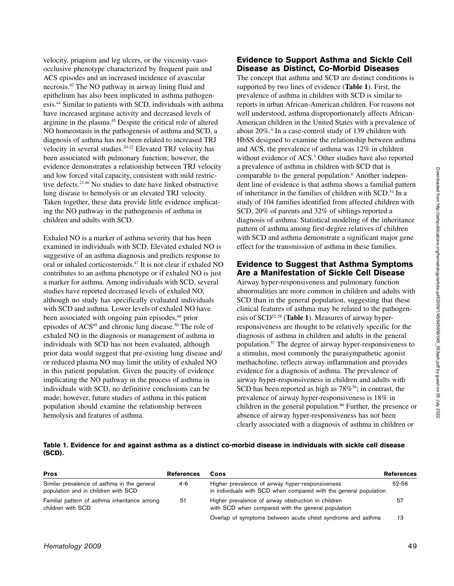velocity, priapism and leg ulcers, or the viscosity-vasoocclusive phenotype characterized by frequent pain and ACS episodes and an increased incidence of avascular necrosis.42 The NO pathway in airway lining fluid and epithelium has also been implicated in asthma pathogenesis.44 Similar to patients with SCD, individuals with asthma have increased arginase activity and decreased levels of arginine in the plasma.45 Despite the critical role of altered NO homeostasis in the pathogenesis of asthma and SCD, a diagnosis of asthma has not been related to increased TRJ velocity in several studies.<sup>20-22</sup> Elevated TRJ velocity has been associated with pulmonary function; however, the evidence demonstrates a relationship between TRJ velocity and low forced vital capacity, consistent with mild restrictive defects.21,46 No studies to date have linked obstructive lung disease to hemolysis or an elevated TRJ velocity. Taken together, these data provide little evidence implicating the NO pathway in the pathogenesis of asthma in children and adults with SCD.

Exhaled NO is a marker of asthma severity that has been examined in individuals with SCD. Elevated exhaled NO is suggestive of an asthma diagnosis and predicts response to oral or inhaled corticosteroids.47 It is not clear if exhaled NO contributes to an asthma phenotype or if exhaled NO is just a marker for asthma. Among individuals with SCD, several studies have reported decreased levels of exhaled NO, although no study has specifically evaluated individuals with SCD and asthma. Lower levels of exhaled NO have been associated with ongoing pain episodes,<sup>48</sup> prior episodes of ACS<sup>49</sup> and chronic lung disease.<sup>50</sup> The role of exhaled NO in the diagnosis or management of asthma in individuals with SCD has not been evaluated, although prior data would suggest that pre-existing lung disease and/ or reduced plasma NO may limit the utility of exhaled NO in this patient population. Given the paucity of evidence implicating the NO pathway in the process of asthma in individuals with SCD, no definitive conclusions can be made; however, future studies of asthma in this patient population should examine the relationship between hemolysis and features of asthma.

# **Evidence to Support Asthma and Sickle Cell Disease as Distinct, Co-Morbid Diseases**

The concept that asthma and SCD are distinct conditions is supported by two lines of evidence (**Table 1**). First, the prevalence of asthma in children with SCD is similar to reports in urban African-American children. For reasons not well understood, asthma disproportionately affects African-American children in the United States with a prevalence of about 20%.4 In a case-control study of 139 children with HbSS designed to examine the relationship between asthma and ACS, the prevalence of asthma was 12% in children without evidence of ACS.<sup>5</sup> Other studies have also reported a prevalence of asthma in children with SCD that is comparable to the general population.<sup>6</sup> Another independent line of evidence is that asthma shows a familial pattern of inheritance in the families of children with SCD.<sup>51</sup> In a study of 104 families identified from affected children with SCD, 20% of parents and 32% of siblings reported a diagnosis of asthma. Statistical modeling of the inheritance pattern of asthma among first-degree relatives of children with SCD and asthma demonstrate a significant major gene effect for the transmission of asthma in these families.

## **Evidence to Suggest that Asthma Symptoms Are a Manifestation of Sickle Cell Disease**

Airway hyper-responsiveness and pulmonary function abnormalities are more common in children and adults with SCD than in the general population, suggesting that these clinical features of asthma may be related to the pathogenesis of SCD<sup>52-58</sup> (Table 1). Measures of airway hyperresponsiveness are thought to be relatively specific for the diagnosis of asthma in children and adults in the general population.57 The degree of airway hyper-responsiveness to a stimulus, most commonly the parasympathetic agonist methacholine, reflects airway inflammation and provides evidence for a diagnosis of asthma. The prevalence of airway hyper-responsiveness in children and adults with SCD has been reported as high as  $78\%$ <sup>56</sup>; in contrast, the prevalence of airway hyper-responsiveness is 18% in children in the general population.<sup>60</sup> Further, the presence or absence of airway hyper-responsiveness has not been clearly associated with a diagnosis of asthma in children or

**Table 1. Evidence for and against asthma as a distinct co-morbid disease in individuals with sickle cell disease (SCD).**

| <b>Pros</b>                                                                        | <b>References</b> | Cons                                                                                                                  | <b>References</b> |
|------------------------------------------------------------------------------------|-------------------|-----------------------------------------------------------------------------------------------------------------------|-------------------|
| Similar prevalence of asthma in the general<br>population and in children with SCD | 4-6               | Higher prevalence of airway hyper-responsiveness<br>in individuals with SCD when compared with the general population | 52-56             |
| Familial pattern of asthma inheritance among<br>children with SCD                  | 51                | Higher prevalence of airway obstruction in children<br>with SCD when compared with the general population             | 57                |
|                                                                                    |                   | Overlap of symptoms between acute chest syndrome and asthma                                                           | 13                |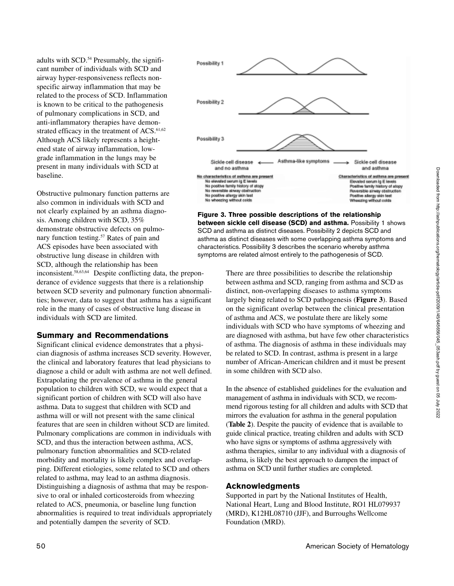adults with SCD.<sup>54</sup> Presumably, the significant number of individuals with SCD and airway hyper-responsiveness reflects nonspecific airway inflammation that may be related to the process of SCD. Inflammation is known to be critical to the pathogenesis of pulmonary complications in SCD, and anti-inflammatory therapies have demonstrated efficacy in the treatment of ACS.<sup>61,62</sup> Although ACS likely represents a heightened state of airway inflammation, lowgrade inflammation in the lungs may be present in many individuals with SCD at baseline.

Obstructive pulmonary function patterns are also common in individuals with SCD and not clearly explained by an asthma diagnosis. Among children with SCD, 35% demonstrate obstructive defects on pulmonary function testing.57 Rates of pain and ACS episodes have been associated with obstructive lung disease in children with SCD, although the relationship has been

inconsistent.58,63,64 Despite conflicting data, the preponderance of evidence suggests that there is a relationship between SCD severity and pulmonary function abnormalities; however, data to suggest that asthma has a significant role in the many of cases of obstructive lung disease in individuals with SCD are limited.

#### **Summary and Recommendations**

Significant clinical evidence demonstrates that a physician diagnosis of asthma increases SCD severity. However, the clinical and laboratory features that lead physicians to diagnose a child or adult with asthma are not well defined. Extrapolating the prevalence of asthma in the general population to children with SCD, we would expect that a significant portion of children with SCD will also have asthma. Data to suggest that children with SCD and asthma will or will not present with the same clinical features that are seen in children without SCD are limited. Pulmonary complications are common in individuals with SCD, and thus the interaction between asthma, ACS, pulmonary function abnormalities and SCD-related morbidity and mortality is likely complex and overlapping. Different etiologies, some related to SCD and others related to asthma, may lead to an asthma diagnosis. Distinguishing a diagnosis of asthma that may be responsive to oral or inhaled corticosteroids from wheezing related to ACS, pneumonia, or baseline lung function abnormalities is required to treat individuals appropriately and potentially dampen the severity of SCD.



**Figure 3. Three possible descriptions of the relationship between sickle cell disease (SCD) and asthma.** Possibility 1 shows SCD and asthma as distinct diseases. Possibility 2 depicts SCD and asthma as distinct diseases with some overlapping asthma symptoms and characteristics. Possibility 3 describes the scenario whereby asthma symptoms are related almost entirely to the pathogenesis of SCD.

> There are three possibilities to describe the relationship between asthma and SCD, ranging from asthma and SCD as distinct, non-overlapping diseases to asthma symptoms largely being related to SCD pathogenesis (**Figure 3**). Based on the significant overlap between the clinical presentation of asthma and ACS, we postulate there are likely some individuals with SCD who have symptoms of wheezing and are diagnosed with asthma, but have few other characteristics of asthma. The diagnosis of asthma in these individuals may be related to SCD. In contrast, asthma is present in a large number of African-American children and it must be present in some children with SCD also.

> In the absence of established guidelines for the evaluation and management of asthma in individuals with SCD, we recommend rigorous testing for all children and adults with SCD that mirrors the evaluation for asthma in the general population (**Table 2**). Despite the paucity of evidence that is available to guide clinical practice, treating children and adults with SCD who have signs or symptoms of asthma aggressively with asthma therapies, similar to any individual with a diagnosis of asthma, is likely the best approach to dampen the impact of asthma on SCD until further studies are completed.

#### **Acknowledgments**

Supported in part by the National Institutes of Health, National Heart, Lung and Blood Institute, RO1 HL079937 (MRD), K12HL08710 (JJF), and Burroughs Wellcome Foundation (MRD).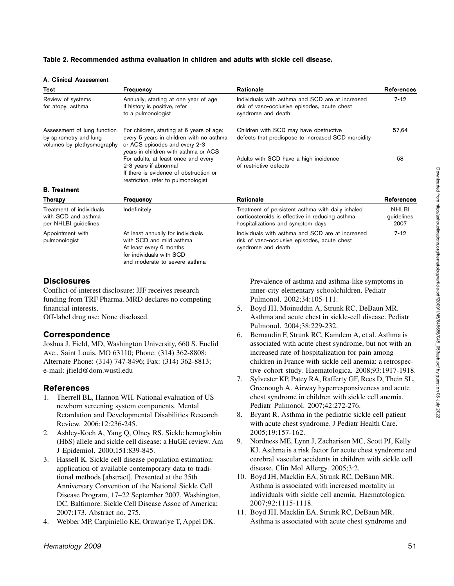#### **Table 2. Recommended asthma evaluation in children and adults with sickle cell disease.**

#### A. Clinical Assessment

| Test                                                                                | Frequency                                                                                                                                                      | Rationale                                                                                                                                 | <b>References</b>           |
|-------------------------------------------------------------------------------------|----------------------------------------------------------------------------------------------------------------------------------------------------------------|-------------------------------------------------------------------------------------------------------------------------------------------|-----------------------------|
| Review of systems<br>for atopy, asthma                                              | Annually, starting at one year of age<br>If history is positive, refer<br>to a pulmonologist                                                                   | Individuals with asthma and SCD are at increased<br>risk of vaso-occlusive episodes, acute chest<br>syndrome and death                    | $7 - 12$                    |
| Assessment of lung function<br>by spirometry and lung<br>volumes by plethysmography | For children, starting at 6 years of age:<br>every 5 years in children with no asthma<br>or ACS episodes and every 2-3<br>years in children with asthma or ACS | Children with SCD may have obstructive<br>defects that predispose to increased SCD morbidity                                              | 57,64                       |
|                                                                                     | For adults, at least once and every<br>2-3 years if abnormal<br>If there is evidence of obstruction or<br>restriction, refer to pulmonologist                  | Adults with SCD have a high incidence<br>of restrictive defects                                                                           | 58                          |
| <b>B.</b> Treatment                                                                 |                                                                                                                                                                |                                                                                                                                           |                             |
| Therapy                                                                             | Frequency                                                                                                                                                      | Rationale                                                                                                                                 | <b>References</b>           |
| Treatment of individuals<br>with SCD and asthma<br>per NHLBI guidelines             | Indefinitely                                                                                                                                                   | Treatment of persistent asthma with daily inhaled<br>corticosteroids is effective in reducing asthma<br>hospitalizations and symptom days | NHLBI<br>guidelines<br>2007 |
| Appointment with<br>pulmonologist                                                   | At least annually for individuals<br>with SCD and mild asthma<br>At least every 6 months<br>for individuals with SCD                                           | Individuals with asthma and SCD are at increased<br>risk of vaso-occlusive episodes, acute chest<br>syndrome and death                    | $7 - 12$                    |

## **Disclosures**

Conflict-of-interest disclosure: JJF receives research funding from TRF Pharma. MRD declares no competing financial interests.

and moderate to severe asthma

Off-label drug use: None disclosed.

# **Correspondence**

Joshua J. Field, MD, Washington University, 660 S. Euclid Ave., Saint Louis, MO 63110; Phone: (314) 362-8808; Alternate Phone: (314) 747-8496; Fax: (314) 362-8813; e-mail: jfield@dom.wustl.edu

# **References**

- 1. Therrell BL, Hannon WH. National evaluation of US newborn screening system components. Mental Retardation and Developmental Disabilities Research Review. 2006;12:236-245.
- 2. Ashley-Koch A, Yang Q, Olney RS. Sickle hemoglobin (HbS) allele and sickle cell disease: a HuGE review. Am J Epidemiol. 2000;151:839-845.
- 3. Hassell K. Sickle cell disease population estimation: application of available contemporary data to traditional methods [abstract]. Presented at the 35th Anniversary Convention of the National Sickle Cell Disease Program, 17–22 September 2007, Washington, DC. Baltimore: Sickle Cell Disease Assoc of America; 2007:173. Abstract no. 275.
- 4. Webber MP, Carpiniello KE, Oruwariye T, Appel DK.

Prevalence of asthma and asthma-like symptoms in inner-city elementary schoolchildren. Pediatr Pulmonol. 2002;34:105-111.

- 5. Boyd JH, Moinuddin A, Strunk RC, DeBaun MR. Asthma and acute chest in sickle-cell disease. Pediatr Pulmonol. 2004;38:229-232.
- 6. Bernaudin F, Strunk RC, Kamdem A, et al. Asthma is associated with acute chest syndrome, but not with an increased rate of hospitalization for pain among children in France with sickle cell anemia: a retrospective cohort study. Haematologica. 2008;93:1917-1918.
- 7. Sylvester KP, Patey RA, Rafferty GF, Rees D, Thein SL, Greenough A. Airway hyperresponsiveness and acute chest syndrome in children with sickle cell anemia. Pediatr Pulmonol. 2007;42:272-276.
- 8. Bryant R. Asthma in the pediatric sickle cell patient with acute chest syndrome. J Pediatr Health Care. 2005;19:157-162.
- 9. Nordness ME, Lynn J, Zacharisen MC, Scott PJ, Kelly KJ. Asthma is a risk factor for acute chest syndrome and cerebral vascular accidents in children with sickle cell disease. Clin Mol Allergy. 2005;3:2.
- 10. Boyd JH, Macklin EA, Strunk RC, DeBaun MR. Asthma is associated with increased mortality in individuals with sickle cell anemia. Haematologica. 2007;92:1115-1118.
- 11. Boyd JH, Macklin EA, Strunk RC, DeBaun MR. Asthma is associated with acute chest syndrome and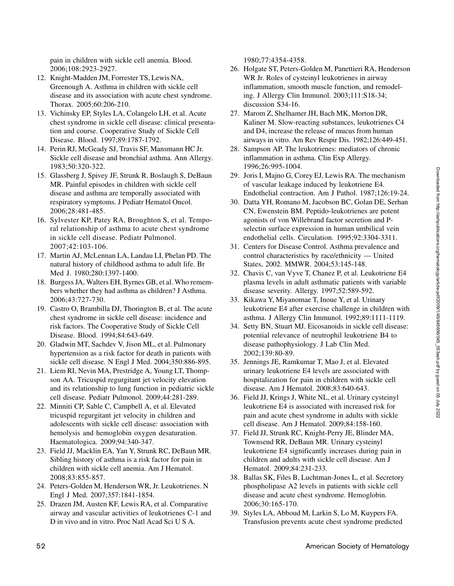pain in children with sickle cell anemia. Blood. 2006;108:2923-2927.

- 12. Knight-Madden JM, Forrester TS, Lewis NA, Greenough A. Asthma in children with sickle cell disease and its association with acute chest syndrome. Thorax. 2005;60:206-210.
- 13. Vichinsky EP, Styles LA, Colangelo LH, et al. Acute chest syndrome in sickle cell disease: clinical presentation and course. Cooperative Study of Sickle Cell Disease. Blood. 1997;89:1787-1792.
- 14. Perin RJ, McGeady SJ, Travis SF, Mansmann HC Jr. Sickle cell disease and bronchial asthma. Ann Allergy. 1983;50:320-322.
- 15. Glassberg J, Spivey JF, Strunk R, Boslaugh S, DeBaun MR. Painful episodes in children with sickle cell disease and asthma are temporally associated with respiratory symptoms. J Pediatr Hematol Oncol. 2006;28:481-485.
- 16. Sylvester KP, Patey RA, Broughton S, et al. Temporal relationship of asthma to acute chest syndrome in sickle cell disease. Pediatr Pulmonol. 2007;42:103-106.
- 17. Martin AJ, McLennan LA, Landau LI, Phelan PD. The natural history of childhood asthma to adult life. Br Med J. 1980;280:1397-1400.
- 18. Burgess JA, Walters EH, Byrnes GB, et al. Who remembers whether they had asthma as children? J Asthma. 2006;43:727-730.
- 19. Castro O, Brambilla DJ, Thorington B, et al. The acute chest syndrome in sickle cell disease: incidence and risk factors. The Cooperative Study of Sickle Cell Disease. Blood. 1994;84:643-649.
- 20. Gladwin MT, Sachdev V, Jison ML, et al. Pulmonary hypertension as a risk factor for death in patients with sickle cell disease. N Engl J Med. 2004;350:886-895.
- 21. Liem RI, Nevin MA, Prestridge A, Young LT, Thompson AA. Tricuspid regurgitant jet velocity elevation and its relationship to lung function in pediatric sickle cell disease. Pediatr Pulmonol. 2009;44:281-289.
- 22. Minniti CP, Sable C, Campbell A, et al. Elevated tricuspid regurgitant jet velocity in children and adolescents with sickle cell disease: association with hemolysis and hemoglobin oxygen desaturation. Haematologica. 2009;94:340-347.
- 23. Field JJ, Macklin EA, Yan Y, Strunk RC, DeBaun MR. Sibling history of asthma is a risk factor for pain in children with sickle cell anemia. Am J Hematol. 2008;83:855-857.
- 24. Peters-Golden M, Henderson WR, Jr. Leukotrienes. N Engl J Med. 2007;357:1841-1854.
- 25. Drazen JM, Austen KF, Lewis RA, et al. Comparative airway and vascular activities of leukotrienes C-1 and D in vivo and in vitro. Proc Natl Acad Sci U S A.

1980;77:4354-4358.

- 26. Holgate ST, Peters-Golden M, Panettieri RA, Henderson WR Jr. Roles of cysteinyl leukotrienes in airway inflammation, smooth muscle function, and remodeling. J Allergy Clin Immunol. 2003;111:S18-34; discussion S34-16.
- 27. Marom Z, Shelhamer JH, Bach MK, Morton DR, Kaliner M. Slow-reacting substances, leukotrienes C4 and D4, increase the release of mucus from human airways in vitro. Am Rev Respir Dis. 1982;126:449-451.
- 28. Sampson AP. The leukotrienes: mediators of chronic inflammation in asthma. Clin Exp Allergy. 1996;26:995-1004.
- 29. Joris I, Majno G, Corey EJ, Lewis RA. The mechanism of vascular leakage induced by leukotriene E4. Endothelial contraction. Am J Pathol. 1987;126:19-24.
- 30. Datta YH, Romano M, Jacobson BC, Golan DE, Serhan CN, Ewenstein BM. Peptido-leukotrienes are potent agonists of von Willebrand factor secretion and Pselectin surface expression in human umbilical vein endothelial cells. Circulation. 1995;92:3304-3311.
- 31. Centers for Disease Control. Asthma prevalence and control characteristics by race/ethnicity — United States, 2002. MMWR. 2004;53:145-148.
- 32. Chavis C, van Vyve T, Chanez P, et al. Leukotriene E4 plasma levels in adult asthmatic patients with variable disease severity. Allergy. 1997;52:589-592.
- 33. Kikawa Y, Miyanomae T, Inoue Y, et al. Urinary leukotriene E4 after exercise challenge in children with asthma. J Allergy Clin Immunol. 1992;89:1111-1119.
- 34. Setty BN, Stuart MJ. Eicosanoids in sickle cell disease: potential relevance of neutrophil leukotriene B4 to disease pathophysiology. J Lab Clin Med. 2002;139:80-89.
- 35. Jennings JE, Ramkumar T, Mao J, et al. Elevated urinary leukotriene E4 levels are associated with hospitalization for pain in children with sickle cell disease. Am J Hematol. 2008;83:640-643.
- 36. Field JJ, Krings J, White NL, et al. Urinary cysteinyl leukotriene E4 is associated with increased risk for pain and acute chest syndrome in adults with sickle cell disease. Am J Hematol. 2009;84:158-160.
- 37. Field JJ, Strunk RC, Knight-Perry JE, Blinder MA, Townsend RR, DeBaun MR. Urinary cysteinyl leukotriene E4 significantly increases during pain in children and adults with sickle cell disease. Am J Hematol. 2009;84:231-233.
- 38. Ballas SK, Files B, Luchtman-Jones L, et al. Secretory phospholipase A2 levels in patients with sickle cell disease and acute chest syndrome. Hemoglobin. 2006;30:165-170.
- 39. Styles LA, Abboud M, Larkin S, Lo M, Kuypers FA. Transfusion prevents acute chest syndrome predicted